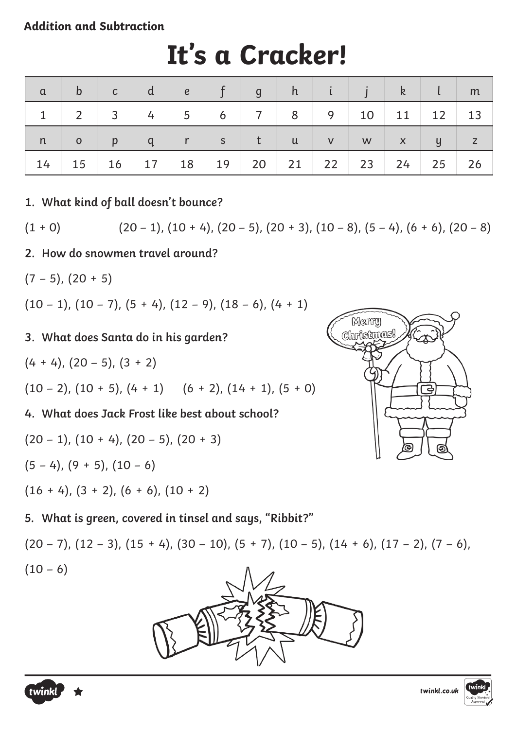### **Addition and Subtraction**

| $\alpha$     | b              | $\mathsf{C}$ |                | $\epsilon$   |              | $\mathsf{g}$ |              |           |    | k            |                | m  |
|--------------|----------------|--------------|----------------|--------------|--------------|--------------|--------------|-----------|----|--------------|----------------|----|
| $\mathbf{1}$ | っ              | 3            | $\overline{4}$ | 5            | 6            |              | 8            | 9         | 10 | 11           | 12             | 13 |
| n            | $\overline{O}$ | $\mathsf{p}$ | $\mathsf{q}$   | $\mathbf{T}$ | $\mathsf{S}$ |              | $\mathsf{u}$ | V         | W  | $\mathsf{X}$ | $\overline{y}$ |    |
| 14           | 15             | 16           | $17 \mid$      | 18           | 19           | 20           | 21           | $22 \mid$ | 23 | 24           | 25             | 26 |

# **It's a Cracker!**

**1. What kind of ball doesn't bounce?**

 $(1 + 0)$  (20 – 1),  $(10 + 4)$ ,  $(20 - 5)$ ,  $(20 + 3)$ ,  $(10 - 8)$ ,  $(5 - 4)$ ,  $(6 + 6)$ ,  $(20 - 8)$ 

- **2. How do snowmen travel around?**
- $(7 5)$ ,  $(20 + 5)$

 $(10 - 1), (10 - 7), (5 + 4), (12 - 9), (18 - 6), (4 + 1)$ 

#### **3. What does Santa do in his garden?**

 $(4 + 4)$ ,  $(20 - 5)$ ,  $(3 + 2)$ 

$$
(10-2), (10+5), (4+1)
$$
  $(6+2), (14+1), (5+0)$ 

**4. What does Jack Frost like best about school?**

$$
(20 - 1), (10 + 4), (20 - 5), (20 + 3)
$$

 $(5 - 4)$ ,  $(9 + 5)$ ,  $(10 - 6)$ 

 $(16 + 4)$ ,  $(3 + 2)$ ,  $(6 + 6)$ ,  $(10 + 2)$ 

**5. What is green, covered in tinsel and says, "Ribbit?"**

 $(20 - 7)$ ,  $(12 - 3)$ ,  $(15 + 4)$ ,  $(30 - 10)$ ,  $(5 + 7)$ ,  $(10 - 5)$ ,  $(14 + 6)$ ,  $(17 - 2)$ ,  $(7 - 6)$ ,  $(10 - 6)$ 







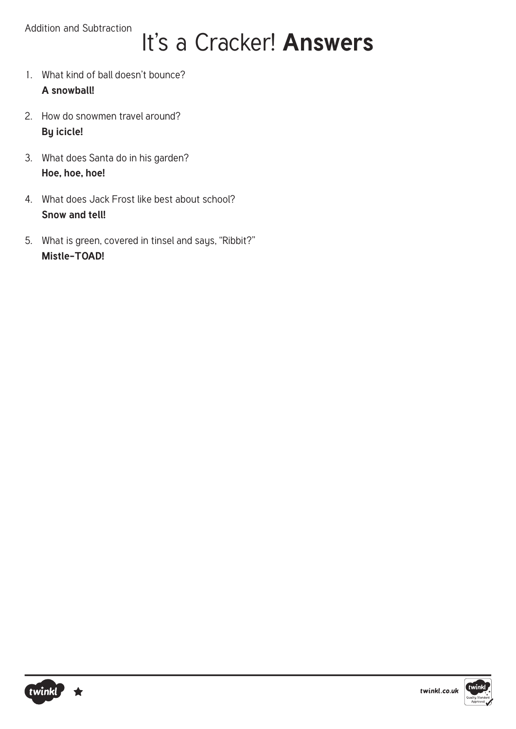# It's a Cracker! **Answers**

- 1. What kind of ball doesn't bounce? **A snowball!**
- 2. How do snowmen travel around? **By icicle!**
- 3. What does Santa do in his garden? **Hoe, hoe, hoe!**
- 4. What does Jack Frost like best about school? **Snow and tell!**
- 5. What is green, covered in tinsel and says, "Ribbit?" **Mistle-TOAD!**

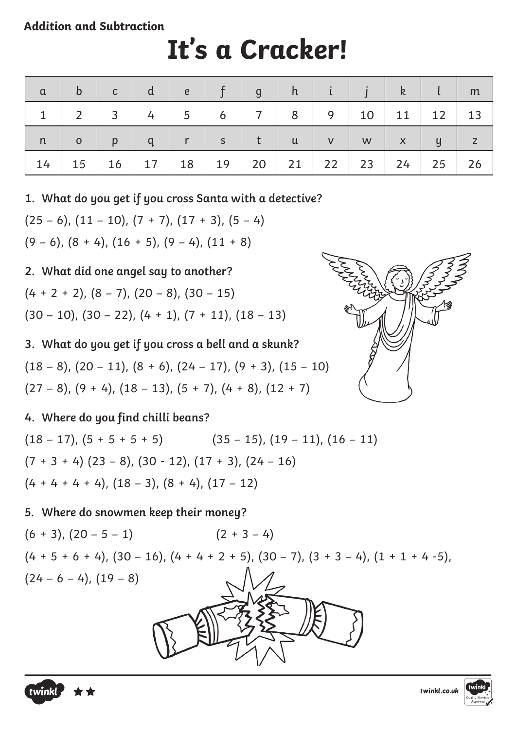#### **Addition and Subtraction**

# **It's a Cracker!**

| $\alpha$     | $\mathsf{b}$ | $\mathsf{C}$   | đ              | $\epsilon$     |         | $\mathsf{g}$      | h              |           |           | $\mathsf{k}$ |              | $\mid$ m  |
|--------------|--------------|----------------|----------------|----------------|---------|-------------------|----------------|-----------|-----------|--------------|--------------|-----------|
| $\mathbf{1}$ |              | $\overline{3}$ | $\overline{4}$ | 5 <sup>5</sup> | 6       | $\cdot$ 7 $\cdot$ | 8 <sup>2</sup> | 9         | 10        | 11           | $12 \mid 13$ |           |
| n            | $\mathbf 0$  | p              | q              | r              | S       | t                 | $\mathsf{u}$   | V         | W         | $\mathsf{X}$ | y            | $\vert$ z |
| 14           | $15 \mid$    | 16             | $17 \mid$      |                | 18   19 | $20$              | 21             | $22 \mid$ | $23 \mid$ | 24           | $25$         | 26        |

**1. What do you get if you cross Santa with a detective?**

 $(25 - 6)$ ,  $(11 - 10)$ ,  $(7 + 7)$ ,  $(17 + 3)$ ,  $(5 - 4)$  $(9 - 6)$ ,  $(8 + 4)$ ,  $(16 + 5)$ ,  $(9 - 4)$ ,  $(11 + 8)$ 

## **2. What did one angel say to another?**

$$
(4 + 2 + 2), (8 - 7), (20 - 8), (30 - 15)
$$

$$
(30-10), (30-22), (4 + 1), (7 + 11), (18 - 13)
$$

**3. What do you get if you cross a bell and a skunk?**

 $(18 - 8)$ ,  $(20 - 11)$ ,  $(8 + 6)$ ,  $(24 - 17)$ ,  $(9 + 3)$ ,  $(15 - 10)$  $(27 - 8)$ ,  $(9 + 4)$ ,  $(18 - 13)$ ,  $(5 + 7)$ ,  $(4 + 8)$ ,  $(12 + 7)$ 

### **4. Where do you find chilli beans?**

 $(18 - 17)$ ,  $(5 + 5 + 5 + 5)$   $(35 - 15)$ ,  $(19 - 11)$ ,  $(16 - 11)$  $(7 + 3 + 4)$   $(23 - 8)$ ,  $(30 - 12)$ ,  $(17 + 3)$ ,  $(24 - 16)$  $(4 + 4 + 4 + 4)$ ,  $(18 - 3)$ ,  $(8 + 4)$ ,  $(17 - 12)$ 

### **5. Where do snowmen keep their money?**

 $(6 + 3), (20 - 5 - 1)$   $(2 + 3 - 4)$  $(4 + 5 + 6 + 4)$ ,  $(30 - 16)$ ,  $(4 + 4 + 2 + 5)$ ,  $(30 - 7)$ ,  $(3 + 3 - 4)$ ,  $(1 + 1 + 4 - 5)$ ,  $(24 - 6 - 4), (19 - 8)$ 





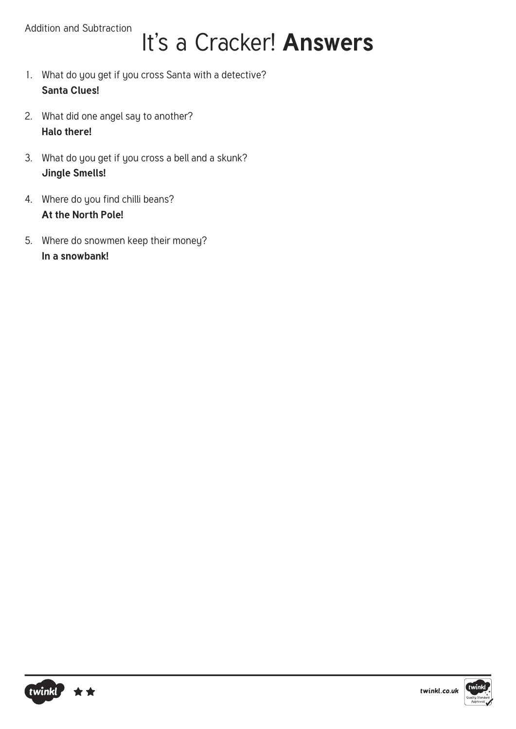## It's a Cracker! **Answers**

- 1. What do you get if you cross Santa with a detective? **Santa Clues!**
- 2. What did one angel say to another? **Halo there!**
- 3. What do you get if you cross a bell and a skunk? **Jingle Smells!**
- 4. Where do you find chilli beans? **At the North Pole!**
- 5. Where do snowmen keep their money? **In a snowbank!**



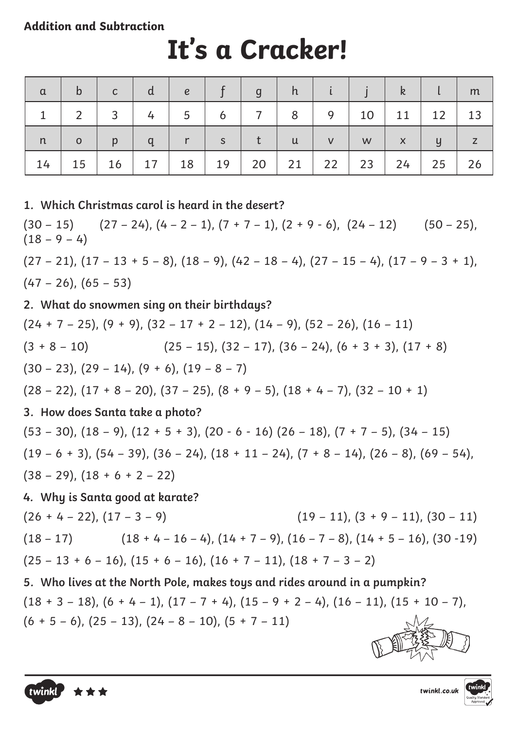#### **Addition and Subtraction**

# **It's a Cracker!**

| $\alpha$ | $\mathsf{b}$   | $\mathsf{C}$    | d.             | $\mathbf{e}$   |   | $\mathbf{g}$   | h.           |           |    | $\mathsf{k}$ |                | $\mid m$  |
|----------|----------------|-----------------|----------------|----------------|---|----------------|--------------|-----------|----|--------------|----------------|-----------|
|          | $\overline{2}$ | $\overline{3}$  | $\overline{4}$ | 5 <sup>5</sup> | 6 | 7 <sup>1</sup> | 8            | 9         | 10 | 11           | $12 \mid 13$   |           |
| n        | $\mathbf{o}$   | p               | q              | r              | S | $-t$           | $\mathsf{u}$ | V         | W  | $\mathsf{X}$ | $\overline{y}$ | $\vert$ z |
| 14       | 15             | 16 <sup>1</sup> |                | $17$   18   19 |   | 20             | 21           | $22 \mid$ | 23 | 24           | $25 \mid$      | 26        |

**1. Which Christmas carol is heard in the desert?**  $(30 - 15)$   $(27 - 24)$ ,  $(4 - 2 - 1)$ ,  $(7 + 7 - 1)$ ,  $(2 + 9 - 6)$ ,  $(24 - 12)$   $(50 - 25)$ ,  $(18 - 9 - 4)$  $(27 - 21)$ ,  $(17 - 13 + 5 - 8)$ ,  $(18 - 9)$ ,  $(42 - 18 - 4)$ ,  $(27 - 15 - 4)$ ,  $(17 - 9 - 3 + 1)$ ,  $(47 - 26)$ ,  $(65 - 53)$ **2. What do snowmen sing on their birthdays?**  $(24 + 7 - 25)$ ,  $(9 + 9)$ ,  $(32 - 17 + 2 - 12)$ ,  $(14 - 9)$ ,  $(52 - 26)$ ,  $(16 - 11)$  $(3 + 8 - 10)$   $(25 - 15)$ ,  $(32 - 17)$ ,  $(36 - 24)$ ,  $(6 + 3 + 3)$ ,  $(17 + 8)$  $(30 - 23)$ ,  $(29 - 14)$ ,  $(9 + 6)$ ,  $(19 - 8 - 7)$  $(28 - 22)$ ,  $(17 + 8 - 20)$ ,  $(37 - 25)$ ,  $(8 + 9 - 5)$ ,  $(18 + 4 - 7)$ ,  $(32 - 10 + 1)$ **3. How does Santa take a photo?**  $(53 - 30)$ ,  $(18 - 9)$ ,  $(12 + 5 + 3)$ ,  $(20 - 6 - 16)$   $(26 - 18)$ ,  $(7 + 7 - 5)$ ,  $(34 - 15)$  $(19 - 6 + 3)$ ,  $(54 - 39)$ ,  $(36 - 24)$ ,  $(18 + 11 - 24)$ ,  $(7 + 8 - 14)$ ,  $(26 - 8)$ ,  $(69 - 54)$ ,  $(38 - 29)$ ,  $(18 + 6 + 2 - 22)$ **4. Why is Santa good at karate?**  $(26 + 4 - 22), (17 - 3 - 9)$  (19 – 11),  $(3 + 9 - 11), (30 - 11)$  $(18 - 17)$   $(18 + 4 - 16 - 4)$ ,  $(14 + 7 - 9)$ ,  $(16 - 7 - 8)$ ,  $(14 + 5 - 16)$ ,  $(30 - 19)$  $(25 - 13 + 6 - 16)$ ,  $(15 + 6 - 16)$ ,  $(16 + 7 - 11)$ ,  $(18 + 7 - 3 - 2)$ **5. Who lives at the North Pole, makes toys and rides around in a pumpkin?**  $(18 + 3 - 18)$ ,  $(6 + 4 - 1)$ ,  $(17 - 7 + 4)$ ,  $(15 - 9 + 2 - 4)$ ,  $(16 - 11)$ ,  $(15 + 10 - 7)$ ,  $(6 + 5 - 6)$ ,  $(25 - 13)$ ,  $(24 - 8 - 10)$ ,  $(5 + 7 - 11)$